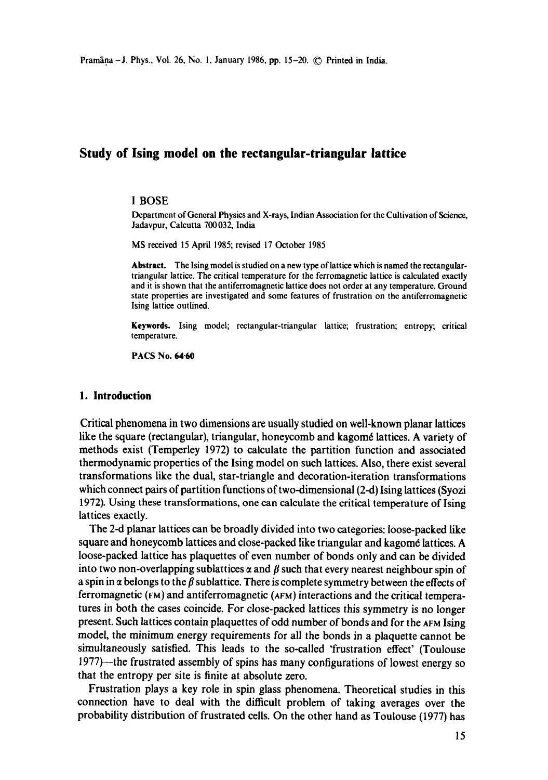# **Study of Ising model on the rectangular-triangular lattice**

#### I BOSE

Department of General Physics and X-rays, Indian Association for the Cultivation of Science, Jadavpur, Calcutta 700032, India

MS received 15 April 1985; revised 17 October 1985

**Abstract.** The Ising model is studied on a new type of lattice which is named the rectangulartriangular lattice. The critical temperature for the ferromagnetic lattice is calculated exactly and it is shown that the antiferromagnetic lattice does not order at any temperature. Ground state properties are investigated and some features of frustration on the antiferromagnetic Ising lattice outlined.

**Keywords.** Ising model; rectangular-triangular lattice; frustration; entropy; critical temperature.

PACS No. 64.60

# **1. Introduction**

Critical phenomena in two dimensions are usually studied on well-known planar lattices like the square (rectangular), triangular, honeycomb and kagomé lattices. A variety of methods exist (Temperley 1972) to calculate the partition function and associated thermodynamic properties of the Ising model on such lattices. Also, there exist several transformations like the dual, star-triangle and decoration-iteration transformations which connect pairs of partition functions of two-dimensional (2-d) Ising lattices (Syozi 1972). Using these transformations, one can calculate the critical temperature of Ising lattices exactly.

The 2-d planar lattices can be broadly divided into two categories: loose-packed like square and honeycomb lattices and close-packed like triangular and kagomé lattices. A loose-packed lattice has plaquettes of even number of bonds only and can be divided into two non-overlapping sublattices  $\alpha$  and  $\beta$  such that every nearest neighbour spin of a spin in  $\alpha$  belongs to the  $\beta$  sublattice. There is complete symmetry between the effects of ferromagnetic (FM) and antiferromagnetic (AFM) interactions and the critical temperatures in both the cases coincide. For close-packed lattices this symmetry is no longer present. Such lattices contain plaquettes of odd number of bonds and for the ^FM Ising model, the minimum energy requirements for all the bonds in a plaquette cannot be simultaneously satisfied. This leads to the so-called 'frustration effect' (Toulouse 1977)--the frustrated assembly of spins has many configurations of lowest energy so that the entropy per site is finite at absolute zero.

Frustration plays a key role in spin glass phenomena. Theoretical studies in this connection have to deal with the difficult problem of taking averages over the probability distribution of frustrated cells. On the other hand as Toulouse (1977) has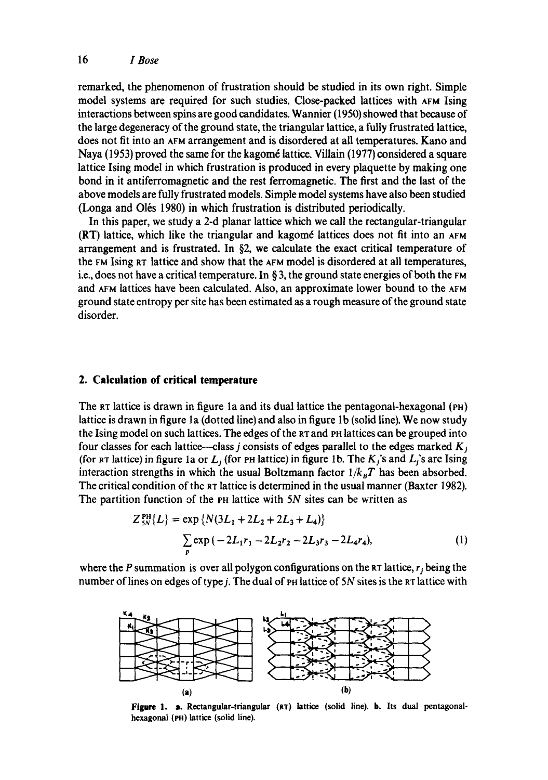# 16 *I Bose*

remarked, the phenomenon of frustration should be studied in its own right. Simple model systems are required for such studies. Close-packed lattices with AFM Ising interactions between spins are good candidates. Wannier (1950) showed that because of the large degeneracy of the ground state, the triangular lattice, a fully frustrated lattice, does not fit into an AFM arrangement and is disordered at all temperatures. Kano and Naya (1953) proved the same for the kagomé lattice. Villain (1977) considered a square lattice Ising model in which frustration is produced in every plaquette by making one bond in it antiferromagnetic and the rest ferromagnetic. The first and the last of the above models are fully frustrated models. Simple model systems have also been studied (Longa and O16s 1980) in which frustration is distributed periodically.

In this paper, we study a 2-d planar lattice which we call the rectangular-triangular  $(RT)$  lattice, which like the triangular and kagomé lattices does not fit into an  $AFM$ arrangement and is frustrated. In §2, we calculate the exact critical temperature of the FM Ising RT lattice and show that the AFM model is disordered at all temperatures, i.e., does not have a critical temperature. In § 3, the ground state energies of both the FM and AFM lattices have been calculated. Also, an approximate lower bound to the AFM ground state entropy per site has been estimated as a rough measure of the ground state disorder.

# **2. Calculation of critical temperature**

The  $RT$  lattice is drawn in figure 1a and its dual lattice the pentagonal-hexagonal ( $PH$ ) lattice is drawn in figure 1a (dotted line) and also in figure 1b (solid line). We now study the Ising model on such lattices. The edges of the RT and PH lattices can be grouped into four classes for each lattice—class j consists of edges parallel to the edges marked  $K_i$ (for  $\kappa\tau$  lattice) in figure 1a or  $L_j$  (for  $\kappa\tau$  lattice) in figure 1b. The  $K_j$ 's and  $L_j$ 's are Ising interaction strengths in which the usual Boltzmann factor  $1/k_BT$  has been absorbed. The critical condition of the RT lattice is determined in the usual manner (Baxter 1982). The partition function of the PH lattice with 5N sites can be written as

$$
Z_{5N}^{\text{PH}}\{L\} = \exp \{N(3L_1 + 2L_2 + 2L_3 + L_4)\}\
$$

$$
\sum_{p} \exp(-2L_1r_1 - 2L_2r_2 - 2L_3r_3 - 2L_4r_4),
$$
 (1)

where the P summation is over all polygon configurations on the RT lattice,  $r_i$  being the number of lines on edges of type  $j$ . The dual of PH lattice of  $5N$  sites is the RT lattice with



Figure 1. a. Rectangular-triangular (RT) lattice (solid line). b. Its dual pentagonalhexagonal (PH) lattice (solid line).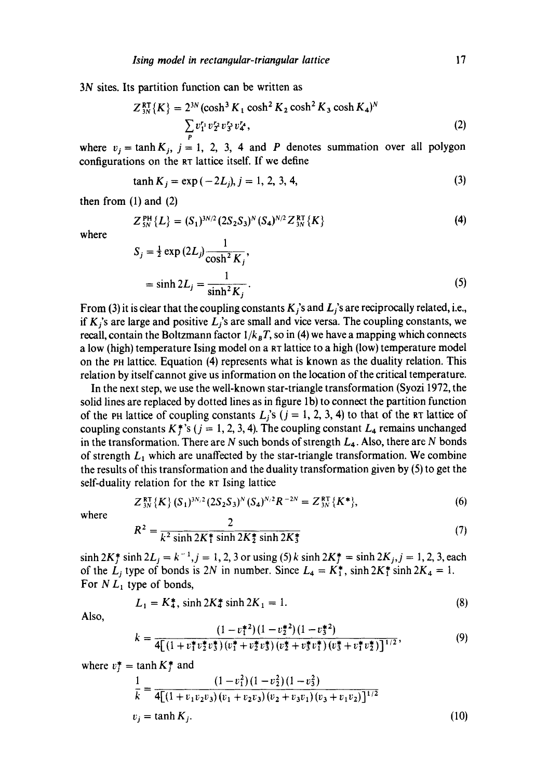3N sites. Its partition function can be written as

$$
Z_{3N}^{\text{RT}}\{K\} = 2^{3N}(\cosh^3 K_1 \cosh^2 K_2 \cosh^2 K_3 \cosh K_4)^N
$$
  

$$
\sum_{n} v_1^r v_2^r v_3^r v_4^r,
$$
 (2)

where  $v_i = \tanh K_i$ ,  $j = 1, 2, 3, 4$  and P denotes summation over all polygon configurations on the aT lattice itself. If we define

$$
\tanh K_j = \exp(-2L_j), j = 1, 2, 3, 4,\tag{3}
$$

then from  $(1)$  and  $(2)$ 

$$
Z_{5N}^{\text{PH}}\{L\} = (S_1)^{3N/2} (2S_2S_3)^N (S_4)^{N/2} Z_{3N}^{\text{RT}}\{K\}
$$
 (4)

where

$$
S_j = \frac{1}{2} \exp(2L_j) \frac{1}{\cosh^2 K_j},
$$
  
= sinh  $2L_j = \frac{1}{\sinh^2 K_j}$ . (5)

From (3) it is clear that the coupling constants  $K_i$ 's and  $L_i$ 's are reciprocally related, i.e., if  $K<sub>i</sub>$ 's are large and positive  $L<sub>i</sub>$ 's are small and vice versa. The coupling constants, we recall, contain the Boltzmann factor  $1/k_B T$ , so in (4) we have a mapping which connects a low (high) temperature Ising model on a RT lattice to a high (low) temperature model on the Pn lattice. Equation (4) represents what is known as the duality relation. This relation by itself cannot give us information on the location of the critical temperature.

In the next step, we use the well-known star-triangle transformation (Syozi 1972, the solid lines are replaced by dotted lines as in figure lb) to connect the partition function of the PH lattice of coupling constants  $L_i$ 's ( $j = 1, 2, 3, 4$ ) to that of the RT lattice of coupling constants K<sup>\*</sup>, s (j = 1, 2, 3, 4). The coupling constant  $L_4$  remains unchanged in the transformation. There are N such bonds of strength  $L_4$ . Also, there are N bonds of strength  $L_1$  which are unaffected by the star-triangle transformation. We combine the results of this transformation and the duality transformation given by (5) to get the self-duality relation for the RT Ising lattice

$$
Z_{3N}^{\rm RT} \{K\} \, (S_1)^{3N/2} \, (2S_2 S_3)^N \, (S_4)^{N/2} R^{-2N} = Z_{3N}^{\rm RT} \{K^*\},\tag{6}
$$

where

$$
R^2 = \frac{2}{k^2 \sinh 2K_1^* \sinh 2K_2^* \sinh 2K_3^*}
$$
 (7)

 $\sinh 2K_f^* \sinh 2L_j = k^{-1}, j = 1, 2, 3$  or using (5) k  $\sinh 2K_f^* = \sinh 2K_j, j = 1, 2, 3,$  each of the  $L_i$  type of bonds is 2N in number. Since  $L_4 = K_1^*$ , sinh  $2K_1^*$  sinh  $2K_4 = 1$ . For  $NL_1$  type of bonds,

$$
L_1 = K_4^*, \sinh 2K_4^* \sinh 2K_1 = 1. \tag{8}
$$

Also,

$$
k = \frac{(1 - v_1^{*2})(1 - v_2^{*2})(1 - v_3^{*2})}{4[(1 + v_1^{*}v_2^{*}v_3^{*})(v_1^{*} + v_2^{*}v_3^{*})(v_2^{*} + v_3^{*}v_1^{*})(v_3^{*} + v_1^{*}v_2^{*})]^{1/2}},
$$
\n(9)

where  $v_i^* = \tanh K_i^*$  and

$$
\frac{1}{k} = \frac{(1 - v_1^2)(1 - v_2^2)(1 - v_3^2)}{4[(1 + v_1v_2v_3)(v_1 + v_2v_3)(v_2 + v_3v_1)(v_3 + v_1v_2)]^{1/2}}
$$
\n
$$
v_j = \tanh K_j.
$$
\n(10)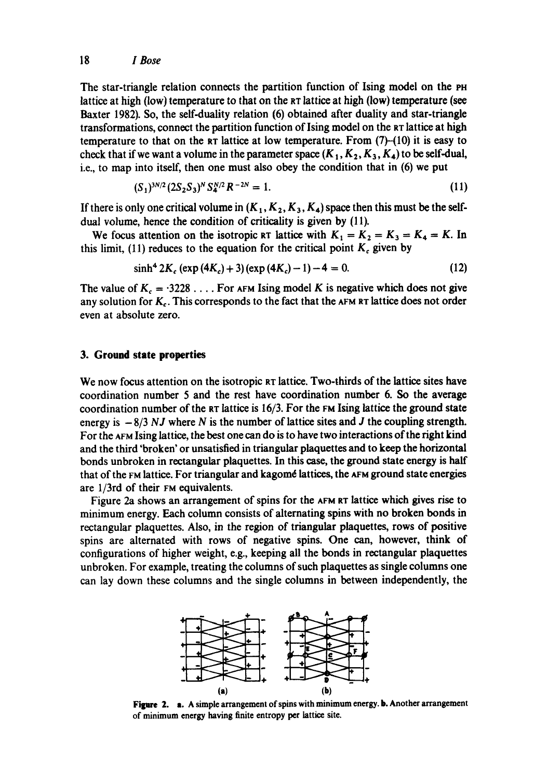The star-triangle relation connects the partition function of Ising model on the PH lattice at high (low) temperature to that on the RT lattice at high (low) temperature (see Baxter 1982). So, the self-duality relation (6) obtained after duality and star-triangle transformations, connect the partition function of Ising model on the RT lattice at high temperature to that on the RT lattice at low temperature. From (7)-(10) it is easy to check that if we want a volume in the parameter space  $(K_1, K_2, K_3, K_4)$  to be self-dual, i.e., to map into itself, then one must also obey the condition that in (6) we put

$$
(S_1)^{3N/2} (2S_2 S_3)^N S_4^{N/2} R^{-2N} = 1.
$$
 (11)

If there is only one critical volume in  $(K_1, K_2, K_3, K_4)$  space then this must be the selfdual volume, hence the condition of criticality is given by (11).

We focus attention on the isotropic RT lattice with  $K_1 = K_2 = K_3 = K_4 = K$ . In this limit, (11) reduces to the equation for the critical point  $K_c$  given by

$$
\sinh^4 2K_c \left( \exp\left(4K_c\right) + 3 \right) \left( \exp\left(4K_c\right) - 1 \right) - 4 = 0. \tag{12}
$$

The value of  $K_c = 3228...$  For AFM Ising model K is negative which does not give any solution for  $K_c$ . This corresponds to the fact that the AFM RT lattice does not order even at absolute zero.

#### **3. Ground state properties**

We now focus attention on the isotropic RT lattice. Two-thirds of the lattice sites have coordination number 5 and the rest have coordination number 6. So the average coordination number of the  $RT$  lattice is 16/3. For the  $FM$  Ising lattice the ground state energy is  $-8/3$  *NJ* where *N* is the number of lattice sites and *J* the coupling strength. For the ArM Ising lattice, the best one can do is to have two interactions of the right kind and the third 'broken' or unsatisfied in triangular plaquettes and to keep the horizontal bonds unbroken in rectangular plaquettes. In this case, the ground state energy is half that of the FM lattice. For triangular and kagomé lattices, the AFM ground state energies are 1/3rd of their FM equivalents.

Figure 2a shows an arrangement of spins for the AFM RT lattice which gives rise to minimum energy. Each column consists of alternating spins with no broken bonds in rectangular plaquettes. Also, in the region of triangular plaquettes, rows of positive spins are alternated with rows of negative spins. One can, however, think of configurations of higher weight, e.g., keeping all the bonds in rectangular plaquettes unbroken. For example, treating the columns of such plaquettes as single columns one can lay down these columns and the single columns in between independently, the



Figure 2. a. A simple arrangement of spins with minimum energy. b. Another arrangement of minimum energy having finite entropy per lattice site.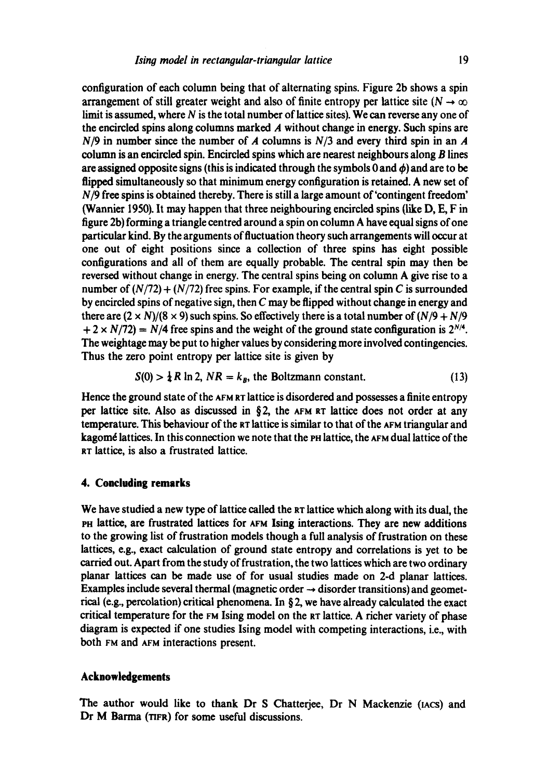configuration of each column being that of alternating spins. Figure 2b shows a spin arrangement of still greater weight and also of finite entropy per lattice site ( $N \rightarrow \infty$ ) limit is assumed, where  $N$  is the total number of lattice sites). We can reverse any one of the encircled spins along columns marked  $A$  without change in energy. Such spins are *N/9* in number since the number of A columns is *N/3* and every third spin in an A column is an encircled spin. Encircled spins which are nearest neighbours along B lines are assigned opposite signs (this is indicated through the symbols 0 and  $\phi$ ) and are to be flipped simultaneously so that minimum energy configuration is retained. A new set of *N/9* free spins is obtained thereby. There is still a large amount of'contingent freedom' (Wannier 1950). It may happen that three neighbouring encircled spins (like D, E, F in figure 2b) forming a triangle centred around a spin on column A have equal signs of one particular kind. By the arguments of fluctuation theory such arrangements will occur at one out of eight positions since a collection of three spins has eight possible configurations and all of them are equally probable. The central spin may then be reversed without change in energy. The central spins being on column A give rise to a number of  $(N/72) + (N/72)$  free spins. For example, if the central spin C is surrounded by encircled spins of negative sign, then  $C$  may be flipped without change in energy and there are  $(2 \times N)/(8 \times 9)$  such spins. So effectively there is a total number of  $(N/9 + N/9)$  $+ 2 \times N/72$ ) = *N*/4 free spins and the weight of the ground state configuration is  $2^{N/4}$ . The weightage may be put to higher values by considering more involved contingencies. Thus the zero point entropy per lattice site is given by

$$
S(0) > \frac{1}{4}R \ln 2, NR = k_B
$$
, the Boltzmann constant. (13)

Hence the ground state of the AFM RT lattice is disordered and possesses a finite entropy per lattice site. Also as discussed in  $\S$ 2, the AFM RT lattice does not order at any temperature. This behaviour of the RT lattice is similar to that of the  $\Delta F$ M triangular and kagomé lattices. In this connection we note that the PH lattice, the AFM dual lattice of the RT lattice, is also a frustrated lattice.

# **4. Concluding remarks**

We have studied a new type of lattice called the RT lattice which along with its dual, the PH lattice, are frustrated lattices for AFM Ising interactions. They are new additions to the growing list of frustration models though a full analysis of frustration on these lattices, e.g., exact calculation of ground state entropy and correlations is yet to be carried out. Apart from the study of frustration, the two lattices which are two ordinary planar lattices can be made use of for usual studies made on 2-d planar lattices. Examples include several thermal (magnetic order  $\rightarrow$  disorder transitions) and geometrical (e.g., percolation) critical phenomena. In § 2, we have already calculated the exact critical temperature for the rM Ising model on the RT lattice. A richer variety of phase diagram is expected if one studies Ising model with competing interactions, i.e., with both FM and ArM interactions present.

#### **Acknowledgements**

The author would like to thank Dr S Chatterjee, Dr N Mackenzie (IACS) and Dr M Barma (TIFR) for some useful discussions.